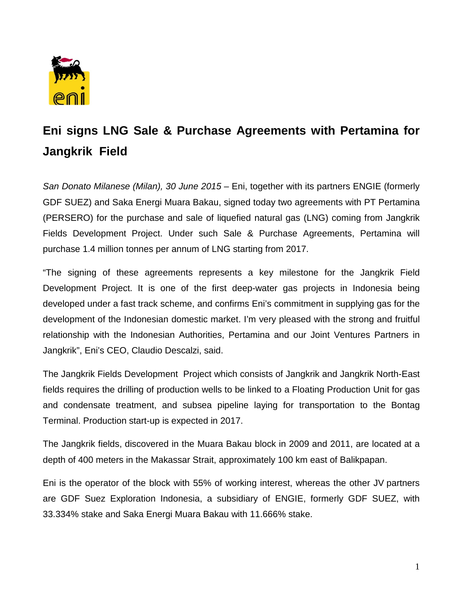

## **Eni signs LNG Sale & Purchase Agreements with Pertamina for Jangkrik Field**

*San Donato Milanese (Milan), 30 June 2015 –* Eni, together with its partners ENGIE (formerly GDF SUEZ) and Saka Energi Muara Bakau, signed today two agreements with PT Pertamina (PERSERO) for the purchase and sale of liquefied natural gas (LNG) coming from Jangkrik Fields Development Project. Under such Sale & Purchase Agreements, Pertamina will purchase 1.4 million tonnes per annum of LNG starting from 2017.

"The signing of these agreements represents a key milestone for the Jangkrik Field Development Project. It is one of the first deep-water gas projects in Indonesia being developed under a fast track scheme, and confirms Eni's commitment in supplying gas for the development of the Indonesian domestic market. I'm very pleased with the strong and fruitful relationship with the Indonesian Authorities, Pertamina and our Joint Ventures Partners in Jangkrik", Eni's CEO, Claudio Descalzi, said.

The Jangkrik Fields Development Project which consists of Jangkrik and Jangkrik North-East fields requires the drilling of production wells to be linked to a Floating Production Unit for gas and condensate treatment, and subsea pipeline laying for transportation to the Bontag Terminal. Production start-up is expected in 2017.

The Jangkrik fields, discovered in the Muara Bakau block in 2009 and 2011, are located at a depth of 400 meters in the Makassar Strait, approximately 100 km east of Balikpapan.

Eni is the operator of the block with 55% of working interest, whereas the other JV partners are GDF Suez Exploration Indonesia, a subsidiary of ENGIE, formerly GDF SUEZ, with 33.334% stake and Saka Energi Muara Bakau with 11.666% stake.